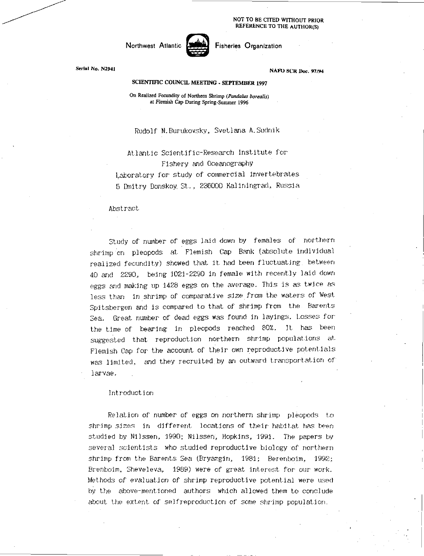NOT TO BE CITED WITHOUT PRIOR REFERENCE TO THE AUTHOR(S)

Northwest Atlantic **World Fisheries Organization** 

Serial No. N2941 NAFO SCR Doc. 97/94

# SCIENTIFIC COUNCIL MEETING - SEPTEMBER 1997

On Realized Fecundity or Northern Shrimp *(Pandalus borealis) at Flemish Cap* During Spring-Summer 1996

Rudolf N.Burukovsky, Svetlana A.Sudnik

Atlantic Scientific - Research Institute for Fishery and Oceanography Laboratory for study of couperoial invertebrates 5 Dmitry Donskoy. St-, 236000 Kaliningrad, Russia

Abstract.

Study of number of eggs laid down by females of northern shrimp on pleopods at. Flemish Cap Bank (absolute individual realized fecundity) showed that it had been fluctuating. between 40 and 2290, being 1021-2290 in female with recently laid down eggs and making up 1428 eggs on the average. This is as twice as less than in shrimp of comparative size from the waters of West Spitsbergen and is compared to that of shrimp from the Barents Sea. Great number of dead eggs was found in layings. Losses for the time of bearing in pleopods reached 80Z. ]t. has been suggested that reproduction northern shrimp populations at. Flemish Cap for the account of their own reproductive potentials was limited, and they recruited by an outward transportation of larvae.

#### Introduction

Relation of number of eggs on northern shrimp pleopods to shrimp sizes in different. locations of their habitat has been studied by Nilssen, 1990; Nilssen, Hopkins, 1991. The papers by several scientists who studied reproductive biology of northern shrimp from the Barents Sea (Bryazgin, 1981; Berenboim, 1992; Brenboim, Sheveleva, 1989) were of great interest for our work. Methods of evaluation of shrimp reproductive potential were used by the above-mentioned authors which allowed them to conclude about the extent of self/eproduction of some shrimp population,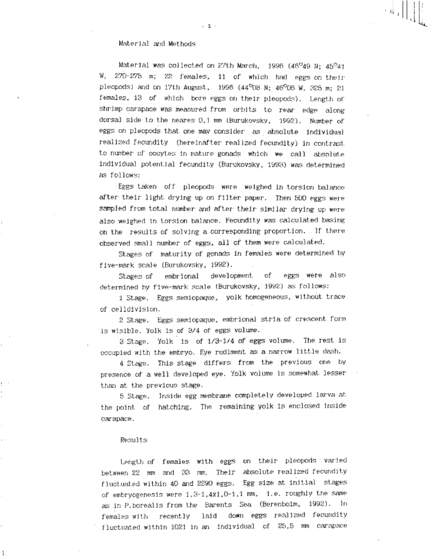## Material and Methods

Material was collected on 27th March, 1996 (46 $^{\circ}$ 49 N; 45 $^{\circ}$ 41 W, 270-275 m; 22 females, 11 of which had eggs on their pleopods) and on 17th August, 1996 (44 $^{\circ}$ 08 N; 46 $^{\circ}$ 06 W, 325 m; 21 females, 13 of which bore eggs on their pleopods). Length of• shrimp carapace was measured from orbits to rear edge along dorsal side to the neares 0,1 mm (Burukovsky, 1992). Number of eggs on pleopods that one may consider as absolute individual realized fecundity (hereinafter realized fecundity) in contrast. to number of oocytes in mature gonads which we call absolute individual potential fecundity (Burukovsky, 1993) was determined as follows:

 $-2 -$ 

observed small number of eggs, all of them were calculated. Eggs taken off pleopods were weighed in torsion balance after their light drying up on filter paper. Then 500 eggs were sampled *from* total number and after their similar drying up were also weighed in torsion balance. Fecundity was calculated basing . on the results of solving a corresponding proportion. If there

Stages of –maturity of gonads in females were determined by . five-mark scale (Burukovsky, 1992).

Stages of embrional development of eggs were also determined by five-mark scale (Burukovsky, 1992) as follows:

1 Stage. Eggs semiopaque, yolk homogeneous, without trace of celldivision.

2 Stage. Eggs semiopaque, embrional stria of crescent form is wisible. Yolk is of 3/4 of eggs volume.

3 Stage. Yolk is of 1/3-1/4 of eggs volume. The rest is occupied with the embryo. Eye rudiment. as a narrow little dash.

4 Stage. This stage differs from the previous one by presence of a well developed eye. Yolk volume is somewhat lesser than at. the previous stage.

5 Stage. Inside egg membrane completely developed larva at the point of hatching. The remaining yolk is enclosed inside carapace.

#### Results

Length of females with eggs on their pleopods • varied between 22 mm . and 33 mm. Their absolute realized fecundity fluctuated within 40 and 2290 eggs. Egg size at initial stages of embryogenesis were 1,3-1,4x1,0-1,1 mm, i.e. roughly the same as in P. borealis from the Barents Sea (Berenboim, 1992). In females with recently laid down eggs realized fecundity fluctuated within 1021 in an individual of 25,5 mm carapace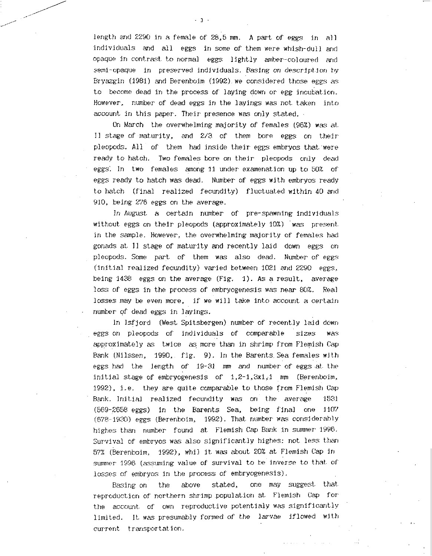length and 2290 in a female of 28,5 mm. A part. of eggs in all individuals and all eggs in some of them were whish-dull and opaque in contrast. t.o normal eggs lightly amber-coloured and semi-opaque in preserved individuals. Basing on description by Bryazgin (1981) and Berenboim (1992) we considered those eggs as to become dead in the process of laying down or egg incubation. However, number of dead eggs in the layings was not taken into account in this paper. Their presence was only stated. -

On March the overwhelming majority of females (96%) was at II stage of maturity, and 2/3 of them bore eggs on their. pleopods. All of them had inside their eggs embryos that. were ready to hatch. Two females bore on their pleopods only dead eggs. In two females among 11 under examenation up to 50% of eggs ready to hatch was dead. Number of eggs with embryos ready to hatch (final realized fecundity) fluctuated within 40 and 910, being 276 eggs on the average.

In August a certain number of pre-spawning individuals without. eggs on their pleopods (approximately 10%) was present. in the sample. However, the overwhelming majority of females had gonads at 11 stage of maturity and recently laid down eggs on pleopods. Some part of them was also dead. Number of eggs (initial realized fecundity) varied between 1021 and 2290 eggs, being. 1438 eggs on the average (Fig. 1). As a result, average loss of eggs in the process of embryogenesis was near 80%. Real losses may be even more, if we will take into account a certain number of dead eggs in layings.

In Isfjord (West Spitsbergen) number of recently laid down eggs on pleopods of individuals of comparable sizes was approximately as twice as more than in shrimp from Flemish Cap Bank (Nilssen, 1990,. fig. 9). In the Barents. Sea females with eggs had the length of 19-31 *non* and number of eggs at- the initial stage of embryogenesis of  $1,2-1,3x1,1$  mm (Berenboim, 1992), i.e. they are quite comparable to thoSe from Flemish Cap Bank:. Initial realized fecundity was on the average 1531 (569-2658 eggs) in the Barents Sea, being final one 1107 (678-1920) eggs (Berenboirn, 1992). That. number was considerably highes than number found at Flemish Cap Bank in summer 1996. Survival of embryos was also significantly highes: not less than 57% (Berenboim, 1992), whil it. was about. 20% at Flemish Cap in sumer 1996 (assuming value of survival to be inverse to that of losses of embryos in the process of embryogenesis).

Basing on the above stated, one may suggest that. reproduction of northern shrimp population at Flemish Cap for the account of own reproductive potentialy was significantly limited. It was presumably formed of the larvae iflowed with current transportation.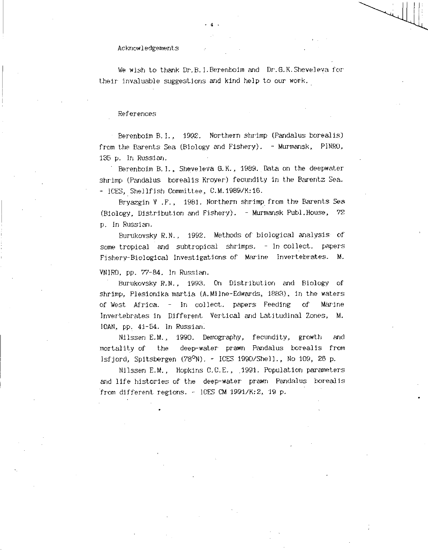#### Acknowledgements

We wish to thank Dr.B.I.Berenboim and Dr.G.K.Sheveleva for their invaluable suggestions and kind help to our work.

4

### References

Berenboim BA., 1992. Northern shrimp (Pandalus borealis) from the Barents Sea (Biology and Fishery). - Murmansk, PINRO, 135 p. In Russian.

Berenboim B.I., Sheveleva O.K., 1989. Data on the deepwater shrimp (Pandalus borealis Kroyer) fecundity in the Barentz Sea. - ICES, Shellfish Committee, C.M.1989/H:16.

Bryazgin V .F., 1981. Northern shrimp from the Barents Sea (Biology, Distribution and Fishery). - Murmansk Publ.House, 72 p. In Russian.

Burukovsky R.N., 1992. Methods of biological analysis of some tropical and subtropical shrimps. - In collect. papers Fishery-Biological Investigations of Marine Invertebrates. M.

VNIRO, pp. 77-84. In Russian.

Burukovsky R.N., 1993. On Distribution and Biology of shrimp, Plesionika martia (A.Milne-Edwards, 1883), in the waters of West Africa. - In collect. papers Feeding of Marine Invertebrates in Different Vertical and Latitudinal Zones, M. IOAN, pp. 41-54. In Russian.

Nilssen E.M., 1990. Demography, fecundity, growth and mortality of the deep-water prawn Pandalus borealis from Isfjord, Spitsbergen (78°N). - ICES 1990/Shell., No 109, 26 p.

Nilssen E.M., Hopkins C.C.E., .1991. Population parameters and life histories of the deep-water. prawn Pandalus borealis from different regions. - ICES CM 1991/H:2, 19 p.